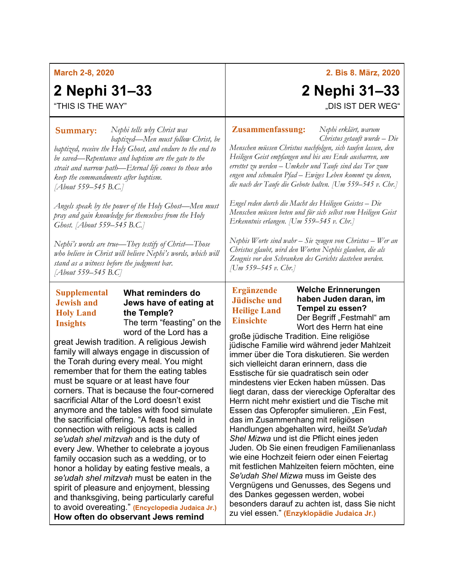### **March 2-8, 2020**

# **2 Nephi 31–33**

"THIS IS THE WAY"

*Nephi tells why Christ was*  **Summary: Zusammenfassung:** *baptized—Men must follow Christ, be baptized, receive the Holy Ghost, and endure to the end to be saved—Repentance and baptism are the gate to the strait and narrow path—Eternal life comes to those who keep the commandments after baptism. [About 559–545 B.C.]*

*Angels speak by the power of the Holy Ghost—Men must pray and gain knowledge for themselves from the Holy Ghost. [About 559–545 B.C.]*

*Nephi's words are true—They testify of Christ—Those who believe in Christ will believe Nephi's words, which will stand as a witness before the judgment bar. [About 559–545 B.C]*

### **Supplemental Jewish and Holy Land Insights**

# **What reminders do Jews have of eating at the Temple?**

The term "feasting" on the word of the Lord has a great Jewish tradition. A religious Jewish

family will always engage in discussion of the Torah during every meal. You might remember that for them the eating tables must be square or at least have four corners. That is because the four-cornered sacrificial Altar of the Lord doesn't exist anymore and the tables with food simulate the sacrificial offering. "A feast held in connection with religious acts is called *se'udah shel mitzvah* and is the duty of every Jew. Whether to celebrate a joyous family occasion such as a wedding, or to honor a holiday by eating festive meals, a *se'udah shel mitzvah* must be eaten in the spirit of pleasure and enjoyment, blessing and thanksgiving, being particularly careful to avoid overeating." **(Encyclopedia Judaica Jr.) How often do observant Jews remind** 

*Nephi erklärt, warum Christus getauft wurde – Die Menschen müssen Christus nachfolgen, sich taufen lassen, den Heiligen Geist empfangen und bis ans Ende ausharren, um errettet zu werden – Umkehr und Taufe sind das Tor zum engen und schmalen Pfad – Ewiges Leben kommt zu denen, die nach der Taufe die Gebote halten. [Um 559–545 v. Chr.]*

*Engel reden durch die Macht des Heiligen Geistes – Die Menschen müssen beten und für sich selbst vom Heiligen Geist Erkenntnis erlangen. [Um 559–545 v. Chr.]*

*Nephis Worte sind wahr – Sie zeugen von Christus – Wer an Christus glaubt, wird den Worten Nephis glauben, die als Zeugnis vor den Schranken des Gerichts dastehen werden. [Um 559–545 v. Chr.]*

## **Ergänzende Jüdische und Heilige Land Einsichte**

**Welche Erinnerungen haben Juden daran, im Tempel zu essen?** Der Begriff "Festmahl" am Wort des Herrn hat eine

große jüdische Tradition. Eine religiöse jüdische Familie wird während jeder Mahlzeit immer über die Tora diskutieren. Sie werden sich vielleicht daran erinnern, dass die Esstische für sie quadratisch sein oder mindestens vier Ecken haben müssen. Das liegt daran, dass der viereckige Opferaltar des Herrn nicht mehr existiert und die Tische mit Essen das Opferopfer simulieren. "Ein Fest. das im Zusammenhang mit religiösen Handlungen abgehalten wird, heißt *Se'udah Shel Mizwa* und ist die Pflicht eines jeden Juden. Ob Sie einen freudigen Familienanlass wie eine Hochzeit feiern oder einen Feiertag mit festlichen Mahlzeiten feiern möchten, eine *Se'udah Shel Mizwa* muss im Geiste des Vergnügens und Genusses, des Segens und des Dankes gegessen werden, wobei besonders darauf zu achten ist, dass Sie nicht zu viel essen." **(Enzyklopädie Judaica Jr.)**

**2. Bis 8. März, 2020**

"DIS IST DER WEG"

**2 Nephi 31–33**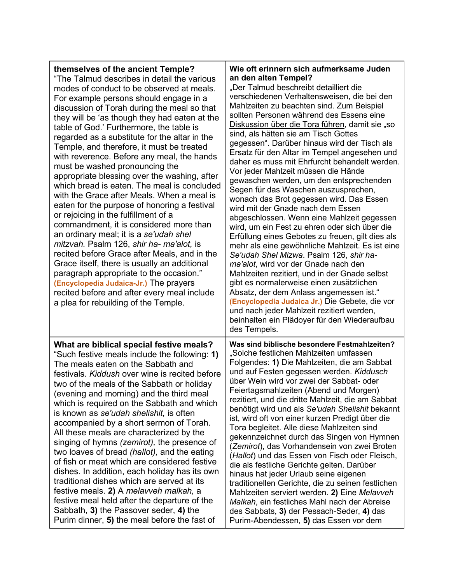| themselves of the ancient Temple?<br>"The Talmud describes in detail the various<br>modes of conduct to be observed at meals.<br>For example persons should engage in a<br>discussion of Torah during the meal so that<br>they will be 'as though they had eaten at the<br>table of God.' Furthermore, the table is<br>regarded as a substitute for the altar in the<br>Temple, and therefore, it must be treated<br>with reverence. Before any meal, the hands<br>must be washed pronouncing the<br>appropriate blessing over the washing, after<br>which bread is eaten. The meal is concluded<br>with the Grace after Meals. When a meal is<br>eaten for the purpose of honoring a festival<br>or rejoicing in the fulfillment of a<br>commandment, it is considered more than<br>an ordinary meal; it is a se'udah shel<br>mitzvah. Psalm 126, shir ha- ma'alot, is<br>recited before Grace after Meals, and in the<br>Grace itself, there is usually an additional<br>paragraph appropriate to the occasion."<br>(Encyclopedia Judaica-Jr.) The prayers<br>recited before and after every meal include<br>a plea for rebuilding of the Temple. | Wie oft erinnern sich aufmerksame Juden<br>an den alten Tempel?<br>"Der Talmud beschreibt detailliert die<br>verschiedenen Verhaltensweisen, die bei den<br>Mahlzeiten zu beachten sind. Zum Beispiel<br>sollten Personen während des Essens eine<br>Diskussion über die Tora führen, damit sie "so<br>sind, als hätten sie am Tisch Gottes<br>gegessen". Darüber hinaus wird der Tisch als<br>Ersatz für den Altar im Tempel angesehen und<br>daher es muss mit Ehrfurcht behandelt werden.<br>Vor jeder Mahlzeit müssen die Hände<br>gewaschen werden, um den entsprechenden<br>Segen für das Waschen auszusprechen,<br>wonach das Brot gegessen wird. Das Essen<br>wird mit der Gnade nach dem Essen<br>abgeschlossen. Wenn eine Mahlzeit gegessen<br>wird, um ein Fest zu ehren oder sich über die<br>Erfüllung eines Gebotes zu freuen, gilt dies als<br>mehr als eine gewöhnliche Mahlzeit. Es ist eine<br>Se'udah Shel Mizwa. Psalm 126, shir ha-<br>ma'alot, wird vor der Gnade nach den<br>Mahlzeiten rezitiert, und in der Gnade selbst<br>gibt es normalerweise einen zusätzlichen<br>Absatz, der dem Anlass angemessen ist."<br>(Encyclopedia Judaica Jr.) Die Gebete, die vor<br>und nach jeder Mahlzeit rezitiert werden,<br>beinhalten ein Plädoyer für den Wiederaufbau<br>des Tempels. |
|-----------------------------------------------------------------------------------------------------------------------------------------------------------------------------------------------------------------------------------------------------------------------------------------------------------------------------------------------------------------------------------------------------------------------------------------------------------------------------------------------------------------------------------------------------------------------------------------------------------------------------------------------------------------------------------------------------------------------------------------------------------------------------------------------------------------------------------------------------------------------------------------------------------------------------------------------------------------------------------------------------------------------------------------------------------------------------------------------------------------------------------------------------|---------------------------------------------------------------------------------------------------------------------------------------------------------------------------------------------------------------------------------------------------------------------------------------------------------------------------------------------------------------------------------------------------------------------------------------------------------------------------------------------------------------------------------------------------------------------------------------------------------------------------------------------------------------------------------------------------------------------------------------------------------------------------------------------------------------------------------------------------------------------------------------------------------------------------------------------------------------------------------------------------------------------------------------------------------------------------------------------------------------------------------------------------------------------------------------------------------------------------------------------------------------------------------------------------------|
| What are biblical special festive meals?<br>"Such festive meals include the following: 1)<br>The meals eaten on the Sabbath and<br>festivals. Kiddush over wine is recited before<br>two of the meals of the Sabbath or holiday<br>(evening and morning) and the third meal<br>which is required on the Sabbath and which<br>is known as se'udah shelishit, is often<br>accompanied by a short sermon of Torah.<br>All these meals are characterized by the<br>singing of hymns (zemirot), the presence of<br>two loaves of bread (hallot), and the eating<br>of fish or meat which are considered festive<br>dishes. In addition, each holiday has its own<br>traditional dishes which are served at its<br>festive meals. 2) A melavveh malkah, a<br>festive meal held after the departure of the<br>Sabbath, 3) the Passover seder, 4) the<br>Purim dinner, 5) the meal before the fast of                                                                                                                                                                                                                                                       | Was sind biblische besondere Festmahlzeiten?<br>"Solche festlichen Mahlzeiten umfassen<br>Folgendes: 1) Die Mahlzeiten, die am Sabbat<br>und auf Festen gegessen werden. Kiddusch<br>über Wein wird vor zwei der Sabbat- oder<br>Feiertagsmahlzeiten (Abend und Morgen)<br>rezitiert, und die dritte Mahlzeit, die am Sabbat<br>benötigt wird und als Se'udah Shelishit bekannt<br>ist, wird oft von einer kurzen Predigt über die<br>Tora begleitet. Alle diese Mahlzeiten sind<br>gekennzeichnet durch das Singen von Hymnen<br>(Zemirot), das Vorhandensein von zwei Broten<br>(Hallot) und das Essen von Fisch oder Fleisch,<br>die als festliche Gerichte gelten. Darüber<br>hinaus hat jeder Urlaub seine eigenen<br>traditionellen Gerichte, die zu seinen festlichen<br>Mahlzeiten serviert werden. 2) Eine Melavveh<br>Malkah, ein festliches Mahl nach der Abreise<br>des Sabbats, 3) der Pessach-Seder, 4) das<br>Purim-Abendessen, 5) das Essen vor dem                                                                                                                                                                                                                                                                                                                                     |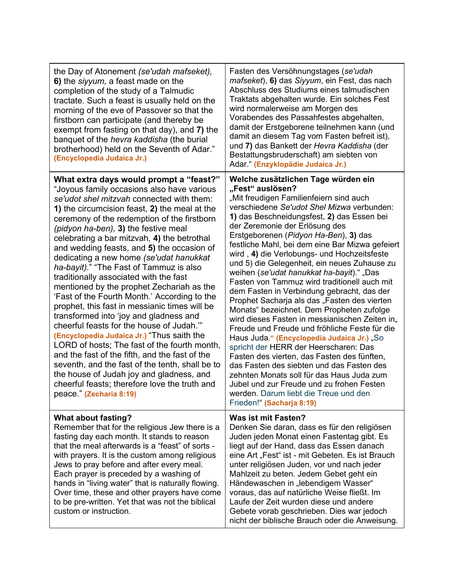| the Day of Atonement (se'udah mafseket),<br>6) the siyyum, a feast made on the<br>completion of the study of a Talmudic<br>tractate. Such a feast is usually held on the<br>morning of the eve of Passover so that the<br>firstborn can participate (and thereby be<br>exempt from fasting on that day), and 7) the<br>banquet of the hevra kaddisha (the burial<br>brotherhood) held on the Seventh of Adar."<br>(Encyclopedia Judaica Jr.)                                                                                                                                                                                                                                                                                                                                                                                                                                                                                                                                                                                                                           | Fasten des Versöhnungstages (se'udah<br>mafseket), 6) das Siyyum, ein Fest, das nach<br>Abschluss des Studiums eines talmudischen<br>Traktats abgehalten wurde. Ein solches Fest<br>wird normalerweise am Morgen des<br>Vorabendes des Passahfestes abgehalten,<br>damit der Erstgeborene teilnehmen kann (und<br>damit an diesem Tag vom Fasten befreit ist),<br>und 7) das Bankett der Hevra Kaddisha (der<br>Bestattungsbruderschaft) am siebten von<br>Adar." (Enzyklopädie Judaica Jr.)                                                                                                                                                                                                                                                                                                                                                                                                                                                                                                                                                                                                                              |
|------------------------------------------------------------------------------------------------------------------------------------------------------------------------------------------------------------------------------------------------------------------------------------------------------------------------------------------------------------------------------------------------------------------------------------------------------------------------------------------------------------------------------------------------------------------------------------------------------------------------------------------------------------------------------------------------------------------------------------------------------------------------------------------------------------------------------------------------------------------------------------------------------------------------------------------------------------------------------------------------------------------------------------------------------------------------|---------------------------------------------------------------------------------------------------------------------------------------------------------------------------------------------------------------------------------------------------------------------------------------------------------------------------------------------------------------------------------------------------------------------------------------------------------------------------------------------------------------------------------------------------------------------------------------------------------------------------------------------------------------------------------------------------------------------------------------------------------------------------------------------------------------------------------------------------------------------------------------------------------------------------------------------------------------------------------------------------------------------------------------------------------------------------------------------------------------------------|
| What extra days would prompt a "feast?"<br>"Joyous family occasions also have various<br>se'udot shel mitzvah connected with them:<br>1) the circumcision feast, 2) the meal at the<br>ceremony of the redemption of the firstborn<br>(pidyon ha-ben), 3) the festive meal<br>celebrating a bar mitzvah, 4) the betrothal<br>and wedding feasts, and 5) the occasion of<br>dedicating a new home (se'udat hanukkat<br>ha-bayit)." "The Fast of Tammuz is also<br>traditionally associated with the fast<br>mentioned by the prophet Zechariah as the<br>'Fast of the Fourth Month.' According to the<br>prophet, this fast in messianic times will be<br>transformed into 'joy and gladness and<br>cheerful feasts for the house of Judah."<br>(Encyclopedia Judaica Jr.) "Thus saith the<br>LORD of hosts; The fast of the fourth month,<br>and the fast of the fifth, and the fast of the<br>seventh, and the fast of the tenth, shall be to<br>the house of Judah joy and gladness, and<br>cheerful feasts; therefore love the truth and<br>peace." (Zecharia 8:19) | Welche zusätzlichen Tage würden ein<br>"Fest" auslösen?<br>"Mit freudigen Familienfeiern sind auch<br>verschiedene Se'udot Shel Mizwa verbunden:<br>1) das Beschneidungsfest, 2) das Essen bei<br>der Zeremonie der Erlösung des<br>Erstgeborenen (Pidyon Ha-Ben), 3) das<br>festliche Mahl, bei dem eine Bar Mizwa gefeiert<br>wird, 4) die Verlobungs- und Hochzeitsfeste<br>und 5) die Gelegenheit, ein neues Zuhause zu<br>weihen (se'udat hanukkat ha-bayit)." "Das<br>Fasten von Tammuz wird traditionell auch mit<br>dem Fasten in Verbindung gebracht, das der<br>Prophet Sacharja als das "Fasten des vierten<br>Monats" bezeichnet. Dem Propheten zufolge<br>wird dieses Fasten in messianischen Zeiten in,<br>Freude und Freude und fröhliche Feste für die<br>Haus Juda." (Encyclopedia Judaica Jr.) "So<br>spricht der HERR der Heerscharen: Das<br>Fasten des vierten, das Fasten des fünften,<br>das Fasten des siebten und das Fasten des<br>zehnten Monats soll für das Haus Juda zum<br>Jubel und zur Freude und zu frohen Festen<br>werden. Darum liebt die Treue und den<br>Frieden!" (Sacharja 8:19) |
| <b>What about fasting?</b><br>Remember that for the religious Jew there is a<br>fasting day each month. It stands to reason<br>that the meal afterwards is a "feast" of sorts -<br>with prayers. It is the custom among religious<br>Jews to pray before and after every meal.<br>Each prayer is preceded by a washing of<br>hands in "living water" that is naturally flowing.<br>Over time, these and other prayers have come<br>to be pre-written. Yet that was not the biblical<br>custom or instruction.                                                                                                                                                                                                                                                                                                                                                                                                                                                                                                                                                          | <b>Was ist mit Fasten?</b><br>Denken Sie daran, dass es für den religiösen<br>Juden jeden Monat einen Fastentag gibt. Es<br>liegt auf der Hand, dass das Essen danach<br>eine Art "Fest" ist - mit Gebeten. Es ist Brauch<br>unter religiösen Juden, vor und nach jeder<br>Mahlzeit zu beten. Jedem Gebet geht ein<br>Händewaschen in "lebendigem Wasser"<br>voraus, das auf natürliche Weise fließt. Im<br>Laufe der Zeit wurden diese und andere<br>Gebete vorab geschrieben. Dies war jedoch<br>nicht der biblische Brauch oder die Anweisung.                                                                                                                                                                                                                                                                                                                                                                                                                                                                                                                                                                         |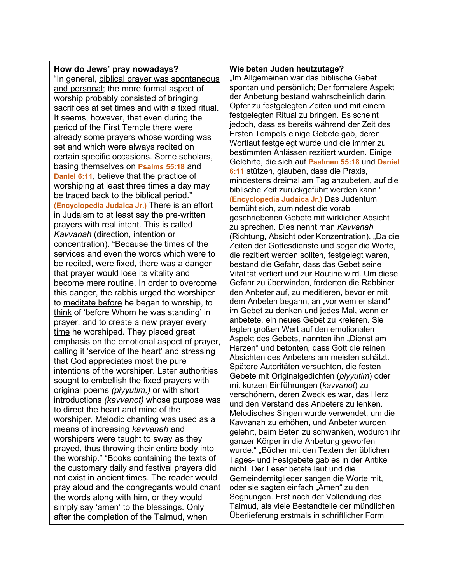#### **How do Jews' pray nowadays?** "In general, biblical prayer was spontaneous and personal; the more formal aspect of worship probably consisted of bringing sacrifices at set times and with a fixed ritual. It seems, however, that even during the period of the First Temple there were already some prayers whose wording was set and which were always recited on certain specific occasions. Some scholars, basing themselves on **Psalms 55:18** and **Daniel 6:11**, believe that the practice of worshiping at least three times a day may be traced back to the biblical period." **(Encyclopedia Judaica Jr.)** There is an effort in Judaism to at least say the pre-written prayers with real intent. This is called *Kavvanah* (direction, intention or concentration). "Because the times of the services and even the words which were to be recited, were fixed, there was a danger that prayer would lose its vitality and become mere routine. In order to overcome this danger, the rabbis urged the worshiper to meditate before he began to worship, to think of 'before Whom he was standing' in prayer, and to create a new prayer every time he worshiped. They placed great emphasis on the emotional aspect of prayer, calling it 'service of the heart' and stressing that God appreciates most the pure intentions of the worshiper. Later authorities sought to embellish the fixed prayers with original poems *(piyyutim,)* or with short introductions *(kavvanot)* whose purpose was to direct the heart and mind of the worshiper. Melodic chanting was used as a means of increasing *kavvanah* and worshipers were taught to sway as they prayed, thus throwing their entire body into the worship." "Books containing the texts of the customary daily and festival prayers did not exist in ancient times. The reader would pray aloud and the congregants would chant the words along with him, or they would simply say 'amen' to the blessings. Only after the completion of the Talmud, when

# **Wie beten Juden heutzutage?**

"Im Allgemeinen war das biblische Gebet spontan und persönlich; Der formalere Aspekt der Anbetung bestand wahrscheinlich darin, Opfer zu festgelegten Zeiten und mit einem festgelegten Ritual zu bringen. Es scheint jedoch, dass es bereits während der Zeit des Ersten Tempels einige Gebete gab, deren Wortlaut festgelegt wurde und die immer zu bestimmten Anlässen rezitiert wurden. Einige Gelehrte, die sich auf **Psalmen 55:18** und **Daniel 6:11** stützen, glauben, dass die Praxis, mindestens dreimal am Tag anzubeten, auf die biblische Zeit zurückgeführt werden kann." **(Encyclopedia Judaica Jr.)** Das Judentum bemüht sich, zumindest die vorab geschriebenen Gebete mit wirklicher Absicht zu sprechen. Dies nennt man *Kavvanah* (Richtung, Absicht oder Konzentration). "Da die Zeiten der Gottesdienste und sogar die Worte, die rezitiert werden sollten, festgelegt waren, bestand die Gefahr, dass das Gebet seine Vitalität verliert und zur Routine wird. Um diese Gefahr zu überwinden, forderten die Rabbiner den Anbeter auf, zu meditieren, bevor er mit dem Anbeten begann, an "vor wem er stand" im Gebet zu denken und jedes Mal, wenn er anbetete, ein neues Gebet zu kreieren. Sie legten großen Wert auf den emotionalen Aspekt des Gebets, nannten ihn "Dienst am Herzen" und betonten, dass Gott die reinen Absichten des Anbeters am meisten schätzt. Spätere Autoritäten versuchten, die festen Gebete mit Originalgedichten (*piyyutim*) oder mit kurzen Einführungen (*kavvanot*) zu verschönern, deren Zweck es war, das Herz und den Verstand des Anbeters zu lenken. Melodisches Singen wurde verwendet, um die Kavvanah zu erhöhen, und Anbeter wurden gelehrt, beim Beten zu schwanken, wodurch ihr ganzer Körper in die Anbetung geworfen wurde." "Bücher mit den Texten der üblichen Tages- und Festgebete gab es in der Antike nicht. Der Leser betete laut und die Gemeindemitglieder sangen die Worte mit, oder sie sagten einfach "Amen" zu den Segnungen. Erst nach der Vollendung des Talmud, als viele Bestandteile der mündlichen Überlieferung erstmals in schriftlicher Form